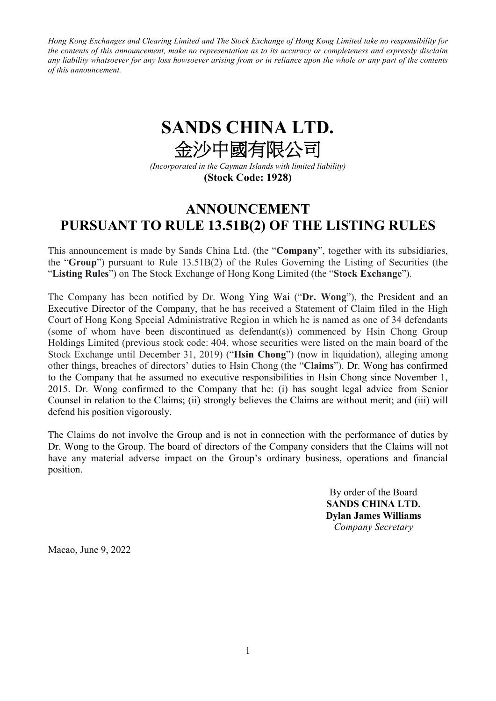*Hong Kong Exchanges and Clearing Limited and The Stock Exchange of Hong Kong Limited take no responsibility for the contents of this announcement, make no representation as to its accuracy or completeness and expressly disclaim any liability whatsoever for any loss howsoever arising from or in reliance upon the whole or any part of the contents of this announcement.*

## **SANDS CHINA LTD.** 金沙中國有限公司

*(Incorporated in the Cayman Islands with limited liability)* **(Stock Code: 1928)**

## **ANNOUNCEMENT PURSUANT TO RULE 13.51B(2) OF THE LISTING RULES**

This announcement is made by Sands China Ltd. (the "**Company**", together with its subsidiaries, the "**Group**") pursuant to Rule 13.51B(2) of the Rules Governing the Listing of Securities (the "**Listing Rules**") on The Stock Exchange of Hong Kong Limited (the "**Stock Exchange**").

The Company has been notified by Dr. Wong Ying Wai ("**Dr. Wong**"), the President and an Executive Director of the Company, that he has received a Statement of Claim filed in the High Court of Hong Kong Special Administrative Region in which he is named as one of 34 defendants (some of whom have been discontinued as defendant(s)) commenced by Hsin Chong Group Holdings Limited (previous stock code: 404, whose securities were listed on the main board of the Stock Exchange until December 31, 2019) ("**Hsin Chong**") (now in liquidation), alleging among other things, breaches of directors' duties to Hsin Chong (the "**Claims**"). Dr. Wong has confirmed to the Company that he assumed no executive responsibilities in Hsin Chong since November 1, 2015. Dr. Wong confirmed to the Company that he: (i) has sought legal advice from Senior Counsel in relation to the Claims; (ii) strongly believes the Claims are without merit; and (iii) will defend his position vigorously.

The Claims do not involve the Group and is not in connection with the performance of duties by Dr. Wong to the Group. The board of directors of the Company considers that the Claims will not have any material adverse impact on the Group's ordinary business, operations and financial position.

> By order of the Board **SANDS CHINA LTD. Dylan James Williams** *Company Secretary*

Macao, June 9, 2022